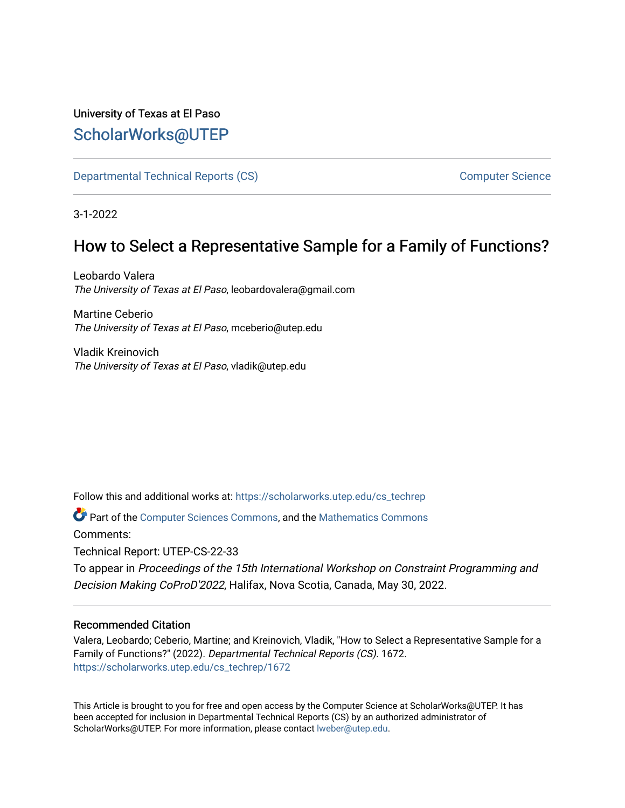## University of Texas at El Paso [ScholarWorks@UTEP](https://scholarworks.utep.edu/)

[Departmental Technical Reports \(CS\)](https://scholarworks.utep.edu/cs_techrep) [Computer Science](https://scholarworks.utep.edu/computer) 

3-1-2022

# How to Select a Representative Sample for a Family of Functions?

Leobardo Valera The University of Texas at El Paso, leobardovalera@gmail.com

Martine Ceberio The University of Texas at El Paso, mceberio@utep.edu

Vladik Kreinovich The University of Texas at El Paso, vladik@utep.edu

Follow this and additional works at: [https://scholarworks.utep.edu/cs\\_techrep](https://scholarworks.utep.edu/cs_techrep?utm_source=scholarworks.utep.edu%2Fcs_techrep%2F1672&utm_medium=PDF&utm_campaign=PDFCoverPages) 

Part of the [Computer Sciences Commons](http://network.bepress.com/hgg/discipline/142?utm_source=scholarworks.utep.edu%2Fcs_techrep%2F1672&utm_medium=PDF&utm_campaign=PDFCoverPages), and the [Mathematics Commons](http://network.bepress.com/hgg/discipline/174?utm_source=scholarworks.utep.edu%2Fcs_techrep%2F1672&utm_medium=PDF&utm_campaign=PDFCoverPages) 

Comments:

Technical Report: UTEP-CS-22-33

To appear in Proceedings of the 15th International Workshop on Constraint Programming and Decision Making CoProD'2022, Halifax, Nova Scotia, Canada, May 30, 2022.

## Recommended Citation

Valera, Leobardo; Ceberio, Martine; and Kreinovich, Vladik, "How to Select a Representative Sample for a Family of Functions?" (2022). Departmental Technical Reports (CS). 1672. [https://scholarworks.utep.edu/cs\\_techrep/1672](https://scholarworks.utep.edu/cs_techrep/1672?utm_source=scholarworks.utep.edu%2Fcs_techrep%2F1672&utm_medium=PDF&utm_campaign=PDFCoverPages) 

This Article is brought to you for free and open access by the Computer Science at ScholarWorks@UTEP. It has been accepted for inclusion in Departmental Technical Reports (CS) by an authorized administrator of ScholarWorks@UTEP. For more information, please contact [lweber@utep.edu](mailto:lweber@utep.edu).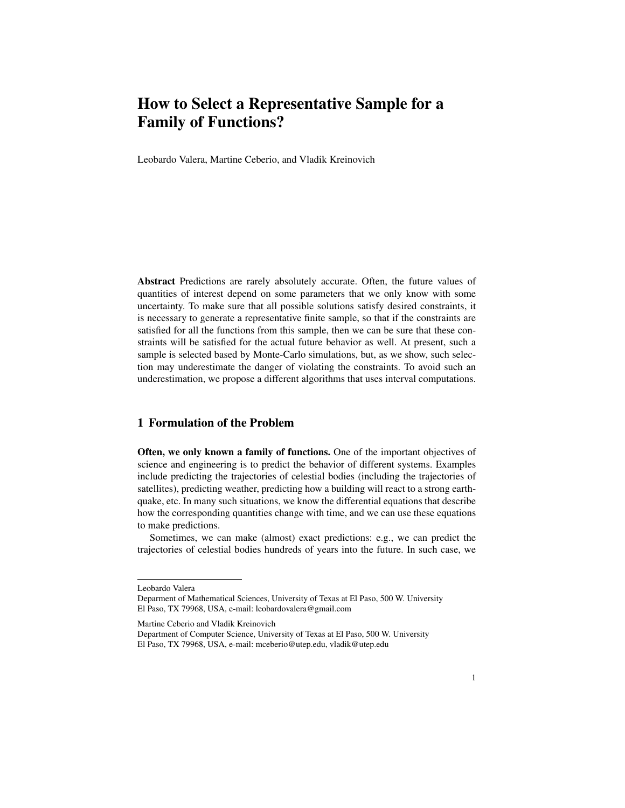# How to Select a Representative Sample for a Family of Functions?

Leobardo Valera, Martine Ceberio, and Vladik Kreinovich

Abstract Predictions are rarely absolutely accurate. Often, the future values of quantities of interest depend on some parameters that we only know with some uncertainty. To make sure that all possible solutions satisfy desired constraints, it is necessary to generate a representative finite sample, so that if the constraints are satisfied for all the functions from this sample, then we can be sure that these constraints will be satisfied for the actual future behavior as well. At present, such a sample is selected based by Monte-Carlo simulations, but, as we show, such selection may underestimate the danger of violating the constraints. To avoid such an underestimation, we propose a different algorithms that uses interval computations.

### 1 Formulation of the Problem

Often, we only known a family of functions. One of the important objectives of science and engineering is to predict the behavior of different systems. Examples include predicting the trajectories of celestial bodies (including the trajectories of satellites), predicting weather, predicting how a building will react to a strong earthquake, etc. In many such situations, we know the differential equations that describe how the corresponding quantities change with time, and we can use these equations to make predictions.

Sometimes, we can make (almost) exact predictions: e.g., we can predict the trajectories of celestial bodies hundreds of years into the future. In such case, we

Leobardo Valera

Deparment of Mathematical Sciences, University of Texas at El Paso, 500 W. University El Paso, TX 79968, USA, e-mail: leobardovalera@gmail.com

Martine Ceberio and Vladik Kreinovich

Department of Computer Science, University of Texas at El Paso, 500 W. University El Paso, TX 79968, USA, e-mail: mceberio@utep.edu, vladik@utep.edu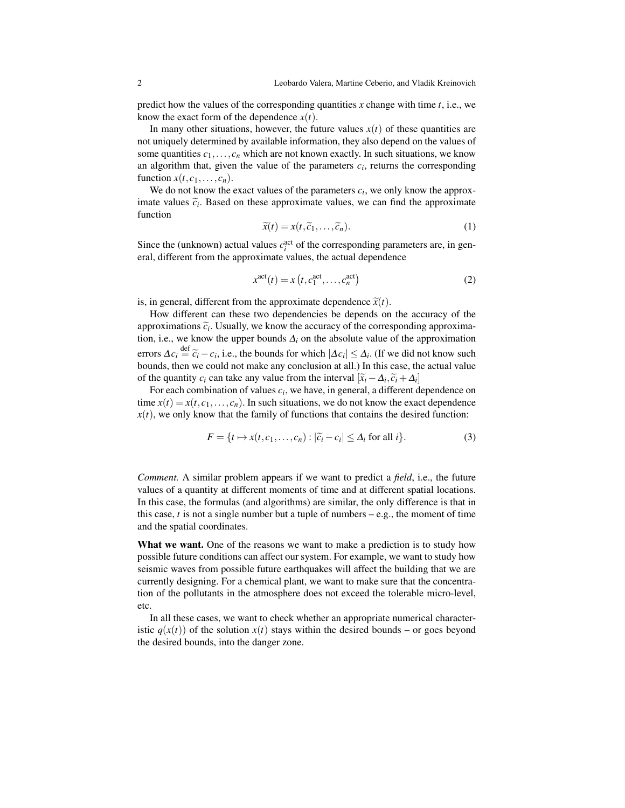predict how the values of the corresponding quantities *x* change with time *t*, i.e., we know the exact form of the dependence  $x(t)$ .

In many other situations, however, the future values  $x(t)$  of these quantities are not uniquely determined by available information, they also depend on the values of some quantities  $c_1, \ldots, c_n$  which are not known exactly. In such situations, we know an algorithm that, given the value of the parameters  $c_i$ , returns the corresponding function  $x(t, c_1, \ldots, c_n)$ .

We do not know the exact values of the parameters  $c_i$ , we only know the approximate values  $\tilde{c}_i$ . Based on these approximate values, we can find the approximate function function

$$
\widetilde{x}(t) = x(t, \widetilde{c}_1, \dots, \widetilde{c}_n). \tag{1}
$$

Since the (unknown) actual values  $c_i^{\text{act}}$  of the corresponding parameters are, in general, different from the approximate values, the actual dependence

$$
x^{\text{act}}(t) = x(t, c_1^{\text{act}}, \dots, c_n^{\text{act}})
$$
 (2)

is, in general, different from the approximate dependence  $\tilde{x}(t)$ .

How different can these two dependencies be depends on the accuracy of the approximations  $\tilde{c}_i$ . Usually, we know the accuracy of the corresponding approxima-<br>tion i.e., we know the upper bounds  $A_i$  on the absolute value of the approximation tion, i.e., we know the upper bounds  $\Delta_i$  on the absolute value of the approximation errors  $\Delta c_i$  def  $\tilde{c}_i - c_i$ , i.e., the bounds for which  $|\Delta c_i| \leq \Delta_i$ . (If we did not know such bounds then we could not make any conclusion at all ) In this case, the actual value bounds, then we could not make any conclusion at all.) In this case, the actual value of the quantity *c<sub>i</sub>* can take any value from the interval  $[\tilde{x}_i - \Delta_i, \tilde{c}_i + \Delta_i]$ <br>For each combination of values *c<sub>e</sub>*, we have in general a different d

For each combination of values  $c_i$ , we have, in general, a different dependence on time  $x(t) = x(t, c_1, \ldots, c_n)$ . In such situations, we do not know the exact dependence  $x(t)$ , we only know that the family of functions that contains the desired function:

$$
F = \{t \mapsto x(t, c_1, \dots, c_n) : |\widetilde{c}_i - c_i| \le \Delta_i \text{ for all } i\}.
$$
 (3)

*Comment.* A similar problem appears if we want to predict a *field*, i.e., the future values of a quantity at different moments of time and at different spatial locations. In this case, the formulas (and algorithms) are similar, the only difference is that in this case,  $t$  is not a single number but a tuple of numbers  $-e.g.,$  the moment of time and the spatial coordinates.

What we want. One of the reasons we want to make a prediction is to study how possible future conditions can affect our system. For example, we want to study how seismic waves from possible future earthquakes will affect the building that we are currently designing. For a chemical plant, we want to make sure that the concentration of the pollutants in the atmosphere does not exceed the tolerable micro-level, etc.

In all these cases, we want to check whether an appropriate numerical characteristic  $q(x(t))$  of the solution  $x(t)$  stays within the desired bounds – or goes beyond the desired bounds, into the danger zone.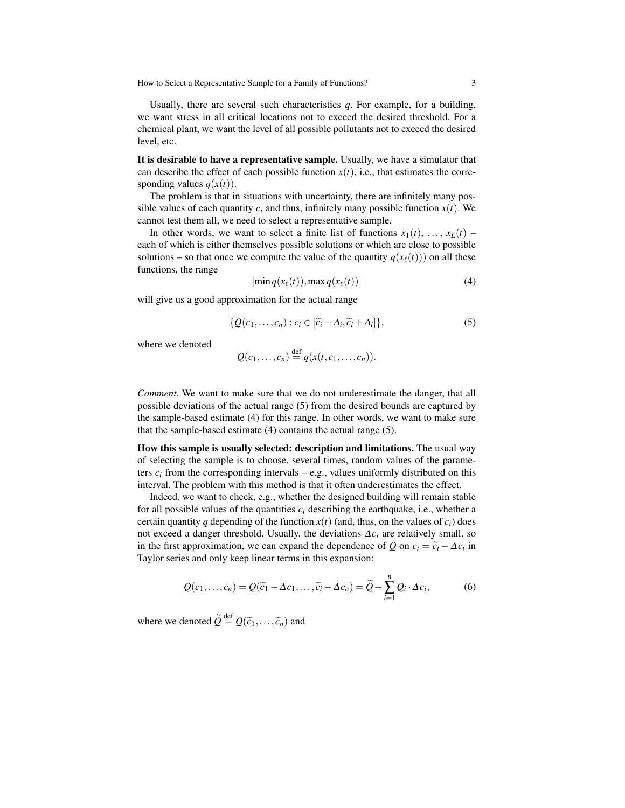How to Select a Representative Sample for a Family of Functions? 3

Usually, there are several such characteristics *q*. For example, for a building, we want stress in all critical locations not to exceed the desired threshold. For a chemical plant, we want the level of all possible pollutants not to exceed the desired level, etc.

It is desirable to have a representative sample. Usually, we have a simulator that can describe the effect of each possible function  $x(t)$ , i.e., that estimates the corresponding values  $q(x(t))$ .

The problem is that in situations with uncertainty, there are infinitely many possible values of each quantity  $c_i$  and thus, infinitely many possible function  $x(t)$ . We cannot test them all, we need to select a representative sample.

In other words, we want to select a finite list of functions  $x_1(t), \ldots, x_L(t)$ each of which is either themselves possible solutions or which are close to possible solutions – so that once we compute the value of the quantity  $q(x_\ell(t))$  on all these functions, the range

$$
[\min q(x_{\ell}(t)), \max q(x_{\ell}(t))]
$$
\n(4)

will give us a good approximation for the actual range

$$
\{Q(c_1,\ldots,c_n):c_i\in[\widetilde{c}_i-\Delta_i,\widetilde{c}_i+\Delta_i]\},\tag{5}
$$

where we denoted

$$
Q(c_1,\ldots,c_n)\stackrel{\text{def}}{=} q(x(t,c_1,\ldots,c_n)).
$$

*Comment.* We want to make sure that we do not underestimate the danger, that all possible deviations of the actual range (5) from the desired bounds are captured by the sample-based estimate (4) for this range. In other words, we want to make sure that the sample-based estimate (4) contains the actual range (5).

How this sample is usually selected: description and limitations. The usual way of selecting the sample is to choose, several times, random values of the parameters  $c_i$  from the corresponding intervals – e.g., values uniformly distributed on this interval. The problem with this method is that it often underestimates the effect.

Indeed, we want to check, e.g., whether the designed building will remain stable for all possible values of the quantities  $c_i$  describing the earthquake, i.e., whether a certain quantity *q* depending of the function  $x(t)$  (and, thus, on the values of  $c_i$ ) does not exceed a danger threshold. Usually, the deviations ∆*c<sup>i</sup>* are relatively small, so in the first approximation, we can expand the dependence of *Q* on  $c_i = \tilde{c}_i - \Delta c_i$  in Taylor series and only keen linear terms in this expansion: Taylor series and only keep linear terms in this expansion:

$$
Q(c_1,\ldots,c_n) = Q(\widetilde{c}_1 - \Delta c_1,\ldots,\widetilde{c}_i - \Delta c_n) = \widetilde{Q} - \sum_{i=1}^n Q_i \cdot \Delta c_i, \qquad (6)
$$

where we denoted  $\widetilde{Q} \stackrel{\text{def}}{=} Q(\widetilde{c}_1,\ldots,\widetilde{c}_n)$  and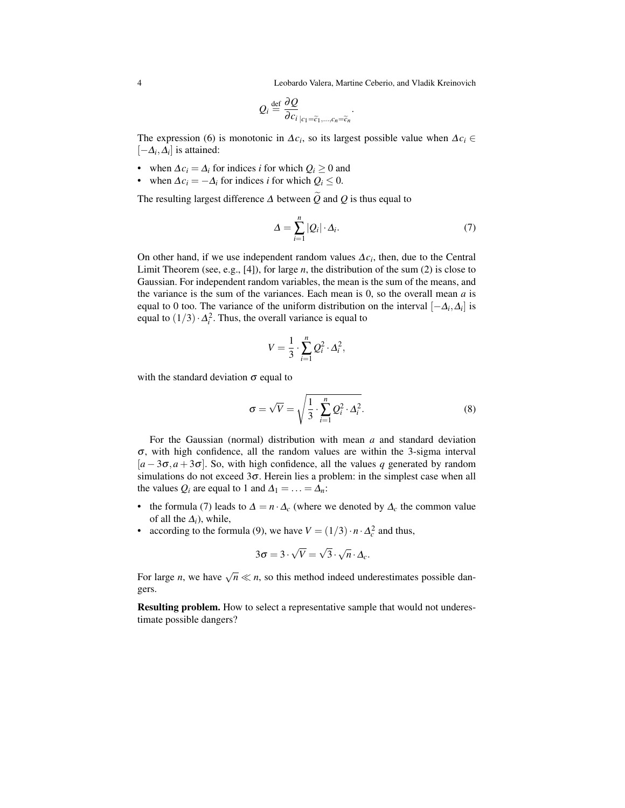4 Leobardo Valera, Martine Ceberio, and Vladik Kreinovich

.

$$
Q_i \stackrel{\text{def}}{=} \frac{\partial Q}{\partial c_i}_{|c_1 = \widetilde{c}_1, \dots, c_n = \widetilde{c}_n}
$$

The expression (6) is monotonic in  $\Delta c_i$ , so its largest possible value when  $\Delta c_i \in$  $[-\Delta_i, \Delta_i]$  is attained:

- when  $\Delta c_i = \Delta_i$  for indices *i* for which  $Q_i \geq 0$  and
- when  $\Delta c_i = -\Delta_i$  for indices *i* for which  $Q_i \leq 0$ .

The resulting largest difference  $\Delta$  between  $\widetilde{Q}$  and  $Q$  is thus equal to

$$
\Delta = \sum_{i=1}^{n} |Q_i| \cdot \Delta_i. \tag{7}
$$

On other hand, if we use independent random values  $\Delta c_i$ , then, due to the Central Limit Theorem (see, e.g., [4]), for large *n*, the distribution of the sum (2) is close to Gaussian. For independent random variables, the mean is the sum of the means, and the variance is the sum of the variances. Each mean is 0, so the overall mean *a* is equal to 0 too. The variance of the uniform distribution on the interval  $[-\Delta_i, \Delta_i]$  is equal to  $(1/3) \cdot \Delta_i^2$ . Thus, the overall variance is equal to

$$
V = \frac{1}{3} \cdot \sum_{i=1}^{n} Q_i^2 \cdot \Delta_i^2,
$$

with the standard deviation  $\sigma$  equal to

$$
\sigma = \sqrt{V} = \sqrt{\frac{1}{3} \cdot \sum_{i=1}^{n} Q_i^2 \cdot \Delta_i^2}.
$$
 (8)

For the Gaussian (normal) distribution with mean *a* and standard deviation  $\sigma$ , with high confidence, all the random values are within the 3-sigma interval  $[a - 3\sigma, a + 3\sigma]$ . So, with high confidence, all the values *q* generated by random simulations do not exceed  $3\sigma$ . Herein lies a problem: in the simplest case when all the values  $Q_i$  are equal to 1 and  $\Delta_1 = \ldots = \Delta_n$ :

- the formula (7) leads to  $\Delta = n \cdot \Delta_c$  (where we denoted by  $\Delta_c$  the common value of all the  $\Delta_i$ ), while,
- according to the formula (9), we have  $V = (1/3) \cdot n \cdot \Delta_c^2$  and thus,

$$
3\sigma = 3 \cdot \sqrt{V} = \sqrt{3} \cdot \sqrt{n} \cdot \Delta_c.
$$

For large *n*, we have  $\sqrt{n} \ll n$ , so this method indeed underestimates possible dangers.

Resulting problem. How to select a representative sample that would not underestimate possible dangers?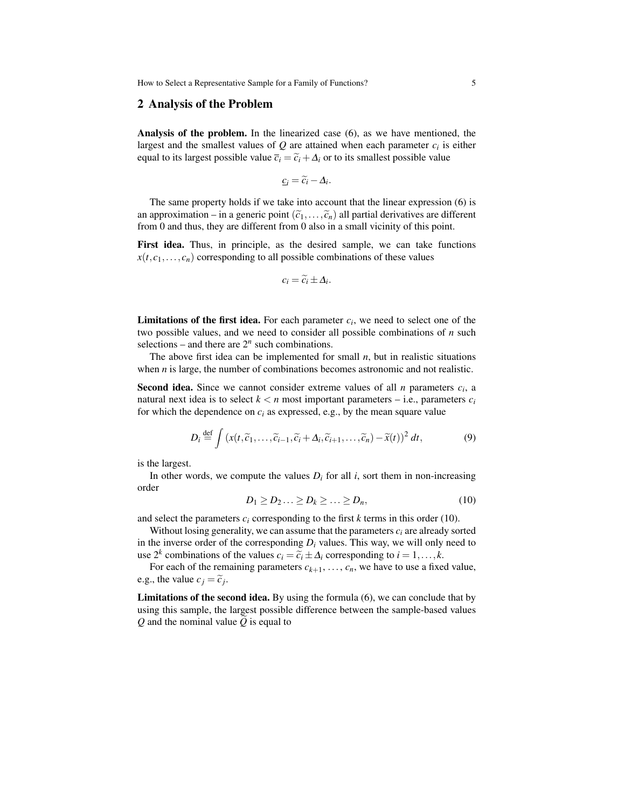How to Select a Representative Sample for a Family of Functions? 5

#### 2 Analysis of the Problem

Analysis of the problem. In the linearized case (6), as we have mentioned, the largest and the smallest values of  $Q$  are attained when each parameter  $c_i$  is either equal to its largest possible value  $\overline{c}_i = \widetilde{c}_i + \Delta_i$  or to its smallest possible value

$$
\underline{c}_i = \widetilde{c}_i - \Delta_i.
$$

The same property holds if we take into account that the linear expression (6) is an approximation – in a generic point  $(\tilde{c}_1,\ldots,\tilde{c}_n)$  all partial derivatives are different from 0 and thus, they are different from 0 also in a small vicinity of this point.

First idea. Thus, in principle, as the desired sample, we can take functions  $x(t, c_1, \ldots, c_n)$  corresponding to all possible combinations of these values

$$
c_i = \widetilde{c}_i \pm \Delta_i.
$$

**Limitations of the first idea.** For each parameter  $c_i$ , we need to select one of the two possible values, and we need to consider all possible combinations of *n* such selections – and there are  $2^n$  such combinations.

The above first idea can be implemented for small *n*, but in realistic situations when *n* is large, the number of combinations becomes astronomic and not realistic.

Second idea. Since we cannot consider extreme values of all *n* parameters *c<sup>i</sup>* , a natural next idea is to select  $k < n$  most important parameters – i.e., parameters  $c_i$ for which the dependence on  $c_i$  as expressed, e.g., by the mean square value

$$
D_i \stackrel{\text{def}}{=} \int \left( x(t, \widetilde{c}_1, \dots, \widetilde{c}_{i-1}, \widetilde{c}_i + \Delta_i, \widetilde{c}_{i+1}, \dots, \widetilde{c}_n) - \widetilde{x}(t) \right)^2 dt, \tag{9}
$$

is the largest.

In other words, we compute the values  $D_i$  for all *i*, sort them in non-increasing order

$$
D_1 \ge D_2 \ldots \ge D_k \ge \ldots \ge D_n,\tag{10}
$$

and select the parameters  $c_i$  corresponding to the first  $k$  terms in this order (10).

Without losing generality, we can assume that the parameters  $c_i$  are already sorted in the inverse order of the corresponding  $D_i$  values. This way, we will only need to use 2<sup>*k*</sup> combinations of the values  $c_i = \tilde{c}_i \pm \Delta_i$  corresponding to  $i = 1, ..., k$ .

For each of the remaining parameters  $c_{k+1}, \ldots, c_n$ , we have to use a fixed value, e.g., the value  $c_j = \tilde{c}_j$ .

**Limitations of the second idea.** By using the formula  $(6)$ , we can conclude that by using this sample, the largest possible difference between the sample-based values  $Q$  and the nominal value  $Q$  is equal to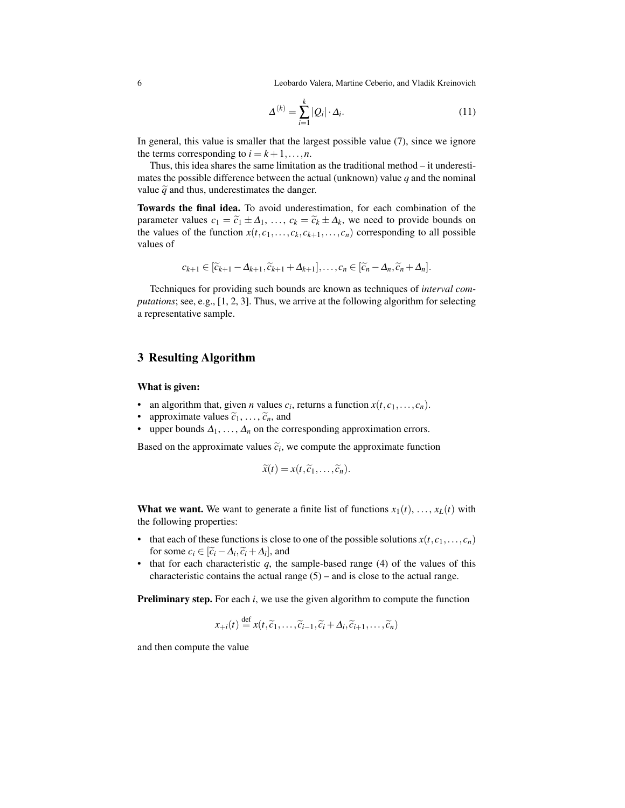6 Leobardo Valera, Martine Ceberio, and Vladik Kreinovich

$$
\Delta^{(k)} = \sum_{i=1}^{k} |Q_i| \cdot \Delta_i.
$$
 (11)

In general, this value is smaller that the largest possible value (7), since we ignore the terms corresponding to  $i = k+1, \ldots, n$ .

Thus, this idea shares the same limitation as the traditional method – it underestimates the possible difference between the actual (unknown) value *q* and the nominal value  $\tilde{q}$  and thus, underestimates the danger.

Towards the final idea. To avoid underestimation, for each combination of the parameter values  $c_1 = \tilde{c}_1 \pm \Delta_1, \ldots, c_k = \tilde{c}_k \pm \Delta_k$ , we need to provide bounds on the values of the function  $x(t, c_1, \ldots, c_k, a_k, \ldots, a_k)$  corresponding to all possible the values of the function  $x(t, c_1, \ldots, c_k, c_{k+1}, \ldots, c_n)$  corresponding to all possible values of

$$
c_{k+1} \in [\widetilde{c}_{k+1} - \Delta_{k+1}, \widetilde{c}_{k+1} + \Delta_{k+1}], \ldots, c_n \in [\widetilde{c}_n - \Delta_n, \widetilde{c}_n + \Delta_n].
$$

Techniques for providing such bounds are known as techniques of *interval computations*; see, e.g., [1, 2, 3]. Thus, we arrive at the following algorithm for selecting a representative sample.

### 3 Resulting Algorithm

What is given:

- an algorithm that, given *n* values  $c_i$ , returns a function  $x(t, c_1, \ldots, c_n)$ .
- approximate values  $\tilde{c}_1, \ldots, \tilde{c}_n$ , and
- upper bounds  $\Delta_1, \ldots, \Delta_n$  on the corresponding approximation errors.

Based on the approximate values  $\tilde{c}_i$ , we compute the approximate function

$$
\widetilde{x}(t)=x(t,\widetilde{c}_1,\ldots,\widetilde{c}_n).
$$

**What we want.** We want to generate a finite list of functions  $x_1(t), \ldots, x_L(t)$  with the following properties:

- that each of these functions is close to one of the possible solutions  $x(t, c_1, \ldots, c_n)$ for some  $c_i \in [\tilde{c}_i - \Delta_i, \tilde{c}_i + \Delta_i]$ , and<br>that for each characteristic *a*, the
- that for each characteristic  $q$ , the sample-based range  $(4)$  of the values of this characteristic contains the actual range  $(5)$  – and is close to the actual range.

**Preliminary step.** For each *i*, we use the given algorithm to compute the function

$$
x_{+i}(t) \stackrel{\text{def}}{=} x(t, \widetilde{c}_1, \ldots, \widetilde{c}_{i-1}, \widetilde{c}_i + \Delta_i, \widetilde{c}_{i+1}, \ldots, \widetilde{c}_n)
$$

and then compute the value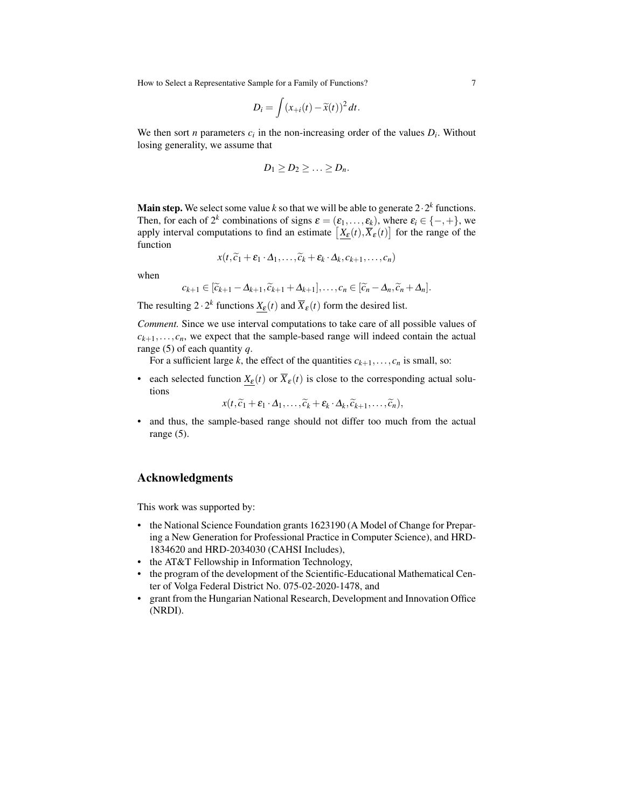How to Select a Representative Sample for a Family of Functions? 7

$$
D_i = \int (x_{+i}(t) - \widetilde{x}(t))^2 dt.
$$

We then sort *n* parameters  $c_i$  in the non-increasing order of the values  $D_i$ . Without losing generality, we assume that

$$
D_1\geq D_2\geq \ldots \geq D_n.
$$

**Main step.** We select some value  $k$  so that we will be able to generate 2 $\cdot$  2 $^k$  functions. Then, for each of  $2^k$  combinations of signs  $\varepsilon = (\varepsilon_1, \dots, \varepsilon_k)$ , where  $\varepsilon_i \in \{-, +\}$ , we apply interval computations to find an estimate  $\left[\underline{X}_{\varepsilon}(t), \overline{X}_{\varepsilon}(t)\right]$  for the range of the function

$$
x(t,\widetilde{c}_1+\varepsilon_1\cdot\Delta_1,\ldots,\widetilde{c}_k+\varepsilon_k\cdot\Delta_k,c_{k+1},\ldots,c_n)
$$

when

$$
c_{k+1} \in [\widetilde{c}_{k+1} - \Delta_{k+1}, \widetilde{c}_{k+1} + \Delta_{k+1}], \ldots, c_n \in [\widetilde{c}_n - \Delta_n, \widetilde{c}_n + \Delta_n].
$$

The resulting  $2 \cdot 2^k$  functions  $\underline{X}_{\varepsilon}(t)$  and  $\overline{X}_{\varepsilon}(t)$  form the desired list.

*Comment.* Since we use interval computations to take care of all possible values of  $c_{k+1}, \ldots, c_n$ , we expect that the sample-based range will indeed contain the actual range (5) of each quantity *q*.

For a sufficient large *k*, the effect of the quantities  $c_{k+1}, \ldots, c_n$  is small, so:

• each selected function  $X_{\varepsilon}(t)$  or  $\overline{X}_{\varepsilon}(t)$  is close to the corresponding actual solutions

$$
x(t,\widetilde{c}_1+\varepsilon_1\cdot\Delta_1,\ldots,\widetilde{c}_k+\varepsilon_k\cdot\Delta_k,\widetilde{c}_{k+1},\ldots,\widetilde{c}_n),
$$

• and thus, the sample-based range should not differ too much from the actual range (5).

### Acknowledgments

This work was supported by:

- the National Science Foundation grants 1623190 (A Model of Change for Preparing a New Generation for Professional Practice in Computer Science), and HRD-1834620 and HRD-2034030 (CAHSI Includes),
- the AT&T Fellowship in Information Technology,
- the program of the development of the Scientific-Educational Mathematical Center of Volga Federal District No. 075-02-2020-1478, and
- grant from the Hungarian National Research, Development and Innovation Office (NRDI).